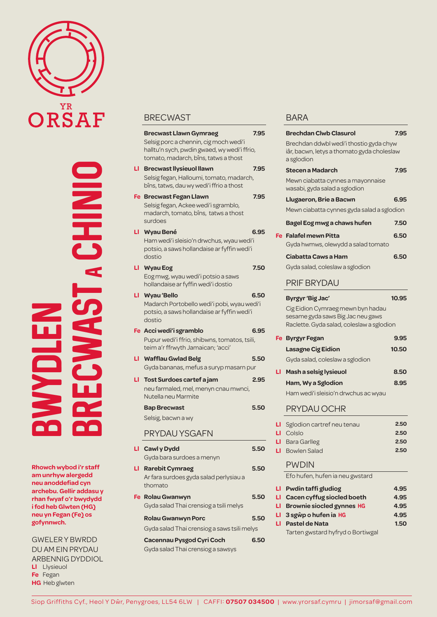

BWYDLEN **BRECWAST STACHINIC** 

**Rhowch wybod i'r staff am unrhyw alergedd neu anoddefiad cyn archebu. Gellir addasu y rhan fwyaf o'r bwydydd i fod heb Glwten (HG) neu yn Fegan (Fe) os gofynnwch.**

GWELER Y BWRDD DU AM EIN PRYDAU ARBENNIG DYDDIOL **Ll** Llysieuol **Fe** Fegan **HG** Heb glwten

#### **BRECWAST**

|     | <b>Brecwast Llawn Gymraeg</b>                                                                                                  | 7.95 |
|-----|--------------------------------------------------------------------------------------------------------------------------------|------|
|     | Selsig porc a chennin, cig moch wedi'i<br>halltu'n sych, pwdin gwaed, wy wedi'i ffrio,<br>tomato, madarch, bîns, tatws a thost |      |
| LI. | <b>Brecwast llysieuol llawn</b>                                                                                                | 7.95 |
|     | Selsig fegan, Halloumi, tomato, madarch,<br>bîns, tatws, dau wy wedi'i ffrio a thost                                           |      |
|     | Fe Brecwast Fegan Llawn<br>Selsig fegan, Ackee wedi'i sgramblo,<br>madarch, tomato, bîns, tatws a thost<br>surdoes             | 7.95 |
| LI  | Wyau Bené<br>Ham wedi'i sleisio'n drwchus, wyau wedi'i<br>potsio, a saws hollandaise ar fyffin wedi'i<br>dostio                | 6.95 |
| LI  | <b>Wyau Eog</b><br>Eog mwg, wyau wedi'i potsio a saws<br>hollandaise ar fyffin wedi'i dostio                                   | 7.50 |
| LI. | <b>Wyau</b> 'Bello<br>Madarch Portobello wedi'i pobi, wyau wedi'i<br>potsio, a saws hollandaise ar fyffin wedi'i<br>dostio     | 6.50 |
|     | Fe Acci wedi'i sgramblo<br>Pupur wedi'i ffrio, shibwns, tomatos, tsili,<br>teim a'r ffrwyth Jamaican; 'acci'                   | 6.95 |
| LI  | <b>Wafflau Gwlad Belg</b><br>Gyda bananas, mefus a suryp masarn pur                                                            | 5.50 |
| ப   | Tost Surdoes cartef a jam<br>neu farmaled, mel, menyn cnau mwnci,<br>Nutella neu Marmite                                       | 2.95 |
|     | <b>Bap Brecwast</b>                                                                                                            | 5.50 |
|     | Selsig, bacwn a wy                                                                                                             |      |
|     | PRYDAU YSGAFN                                                                                                                  |      |
| ப   | Cawl y Dydd                                                                                                                    | 5.50 |

Gyda bara surdoes a menyn **Ll Rarebit Cymraeg 5.50**  Ar fara surdoes gyda salad perlysiau a thomato **Fe Rolau Gwanwyn 5.50** Gyda salad Thai crensiog a tsili melys **Rolau Gwanwyn Porc 5.50**

Gyda salad Thai crensiog a saws tsili melys

**Cacennau Pysgod Cyri Coch 6.50** Gyda salad Thai crensiog a sawsys

#### BARA

|        | Brechdan Clwb Clasurol                                                                                              | 7.95         |
|--------|---------------------------------------------------------------------------------------------------------------------|--------------|
|        | Brechdan ddwbl wedi'i thostio gyda chyw<br>iâr, bacwn, letys a thomato gyda choleslaw<br>a sglodion                 |              |
|        | Stecen a Madarch                                                                                                    | 7.95         |
|        | Mewn ciabatta cynnes a mayonnaise<br>wasabi, gyda salad a sglodion                                                  |              |
|        | Llugaeron, Brie a Bacwn                                                                                             | 6.95         |
|        | Mewn ciabatta cynnes gyda salad a sglodion                                                                          |              |
|        | Bagel Eog mwg a chaws hufen                                                                                         | 7.50         |
|        | Fe Falafel mewn Pitta                                                                                               | 6.50         |
|        | Gyda hwmws, olewydd a salad tomato                                                                                  |              |
|        | Ciabatta Caws a Ham                                                                                                 | 6.50         |
|        | Gyda salad, coleslaw a sglodion                                                                                     |              |
|        | PRIF BRYDAU                                                                                                         |              |
|        | Byrgyr 'Big Jac'                                                                                                    | 10.95        |
|        | Cig Eidion Cymraeg mewn byn hadau<br>sesame gyda saws Big Jac neu gaws<br>Raclette. Gyda salad, coleslaw a sglodion |              |
|        | Fe Byrgyr Fegan                                                                                                     | 9.95         |
|        | Lasagne Cig Eidion                                                                                                  | 10.50        |
|        | Gyda salad, coleslaw a sglodion                                                                                     |              |
| ப      | Mash a selsig lysieuol                                                                                              | 8.50         |
|        | Ham, Wy a Sglodion                                                                                                  | 8.95         |
|        | Ham wedi'i sleisio'n drwchus ac wyau                                                                                |              |
|        | <b>PRYDAU OCHR</b>                                                                                                  |              |
| LI     | Sglodion cartref neu tenau                                                                                          | 2.50         |
| ப      | Colslo                                                                                                              | 2.50         |
| ப<br>п | <b>Bara Garlleg</b><br><b>Bowlen Salad</b>                                                                          | 2.50<br>2.50 |
|        |                                                                                                                     |              |
|        | <b>PWDIN</b>                                                                                                        |              |

Efo hufen, hufen ia neu gwstard

- **Ll Pwdin taffi gludiog 4.95 Ll Cacen cyffug siocled boeth 4.95**
- **Ll Brownie siocled gynnes HG 4.95**
- **Ll** 3 sgŵp o hufen ia HG 4.95
- **Ll Pastel de Nata 1.50** Tarten gwstard hyfryd o Bortiwgal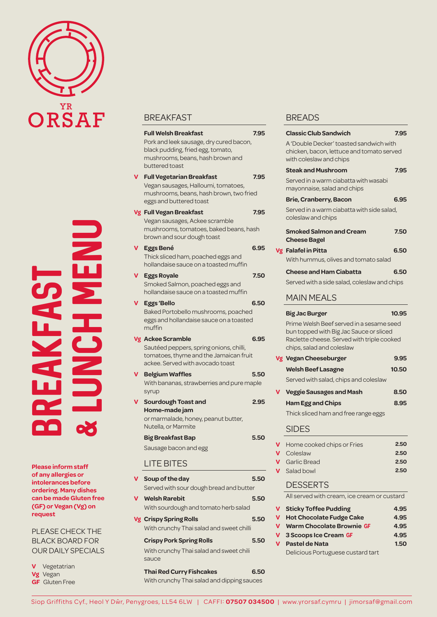

& LUNCH MENU  $\frac{1}{2}$ BREAKFAST

**Please inform staff of any allergies or intolerances before ordering. Many dishes can be made Gluten free (GF) or Vegan (Vg) on request** 

PLEASE CHECK THE BLACK BOARD FOR OUR DAILY SPECIALS

**V** Vegetatrian **Vg** Vegan **GF** Gluten Free

## **BREAKFAST**

|          | <b>Full Welsh Breakfast</b><br>Pork and leek sausage, dry cured bacon,<br>black pudding, fried egg, tomato,<br>mushrooms, beans, hash brown and<br>buttered toast | 7.95 |
|----------|-------------------------------------------------------------------------------------------------------------------------------------------------------------------|------|
|          | <b>Full Vegetarian Breakfast</b><br>Vegan sausages, Halloumi, tomatoes,<br>mushrooms, beans, hash brown, two fried<br>eggs and buttered toast                     | 7.95 |
|          | Vg Full Vegan Breakfast<br>Vegan sausages, Ackee scramble<br>mushrooms, tomatoes, baked beans, hash<br>brown and sour dough toast                                 | 7.95 |
| ٧        | Eggs Bené<br>Thick sliced ham, poached eggs and<br>hollandaise sauce on a toasted muffin                                                                          | 6.95 |
| <b>V</b> | <b>Eggs Royale</b><br>Smoked Salmon, poached eggs and<br>hollandaise sauce on a toasted muffin                                                                    | 7.50 |
| V        | <b>Eggs 'Bello</b><br>Baked Portobello mushrooms, poached<br>eggs and hollandaise sauce on a toasted<br>muffin                                                    | 6.50 |
|          | Vg Ackee Scramble<br>Sautéed peppers, spring onions, chilli,<br>tomatoes, thyme and the Jamaican fruit<br>ackee. Served with avocado toast                        | 6.95 |
|          | <b>Belgium Waffles</b><br>With bananas, strawberries and pure maple<br>syrup                                                                                      | 5.50 |
| V        | Sourdough Toast and<br>Home-made jam<br>or marmalade, honey, peanut butter,<br>Nutella, or Marmite                                                                | 2.95 |
|          | Big Breakfast Bap                                                                                                                                                 | 5.50 |
|          | Sausage bacon and egg                                                                                                                                             |      |
|          | <b>LITE BITES</b>                                                                                                                                                 |      |
|          | Soup of the day<br>Served with sour dough bread and butter                                                                                                        | 5.50 |

## **V Welsh Rarebit 5.50**  With sourdough and tomato herb salad

**Vg Crispy Spring Rolls 5.50** With crunchy Thai salad and sweet chilli

#### **Crispy Pork Spring Rolls 5.50** With crunchy Thai salad and sweet chili

# sauce

**Thai Red Curry Fishcakes 6.50** With crunchy Thai salad and dipping sauces

## BREADS

|   | <b>Classic Club Sandwich</b>                                                                                                                                   | 7.95  |
|---|----------------------------------------------------------------------------------------------------------------------------------------------------------------|-------|
|   | A 'Double Decker' toasted sandwich with<br>chicken, bacon, lettuce and tomato served<br>with coleslaw and chips                                                |       |
|   | <b>Steak and Mushroom</b>                                                                                                                                      | 7.95  |
|   | Served in a warm ciabatta with wasabi<br>mayonnaise, salad and chips                                                                                           |       |
|   | <b>Brie, Cranberry, Bacon</b>                                                                                                                                  | 6.95  |
|   | Served in a warm ciabatta with side salad,<br>coleslaw and chips                                                                                               |       |
|   | <b>Smoked Salmon and Cream</b><br><b>Cheese Bagel</b>                                                                                                          | 7.50  |
|   | Vg Falafel in Pitta                                                                                                                                            | 6.50  |
|   | With hummus, olives and tomato salad                                                                                                                           |       |
|   | <b>Cheese and Ham Ciabatta</b>                                                                                                                                 | 6.50  |
|   | Served with a side salad, coleslaw and chips                                                                                                                   |       |
|   | <b>MAIN MEALS</b>                                                                                                                                              |       |
|   | <b>Big Jac Burger</b>                                                                                                                                          | 10.95 |
|   | Prime Welsh Beef served in a sesame seed<br>bun topped with Big Jac Sauce or sliced<br>Raclette cheese. Served with triple cooked<br>chips, salad and coleslaw |       |
|   | Vg Vegan Cheeseburger                                                                                                                                          | 9.95  |
|   | <b>Welsh Beef Lasagne</b>                                                                                                                                      | 10.50 |
|   |                                                                                                                                                                |       |
|   | Served with salad, chips and coleslaw                                                                                                                          |       |
|   | <b>Veggie Sausages and Mash</b>                                                                                                                                | 8.50  |
|   | <b>Ham Egg and Chips</b>                                                                                                                                       | 8.95  |
|   | Thick sliced ham and free range eggs                                                                                                                           |       |
|   | <b>SIDES</b>                                                                                                                                                   |       |
| V | Home cooked chips or Fries                                                                                                                                     | 2.50  |
| ۷ | Coleslaw                                                                                                                                                       | 2.50  |
| V | <b>Garlic Bread</b>                                                                                                                                            | 2.50  |
| V | Salad bowl<br><b>DESSERTS</b>                                                                                                                                  | 2.50  |

All served with cream, ice cream or custard

| <b>V</b> Sticky Toffee Pudding     | 4.95 |
|------------------------------------|------|
| V Hot Chocolate Fudge Cake         | 4.95 |
| <b>V</b> Warm Chocolate Brownie GF | 4.95 |
| V 3 Scoops Ice Cream GF            | 4.95 |
| V Pastel de Nata                   | 1.50 |

Delicious Portuguese custard tart